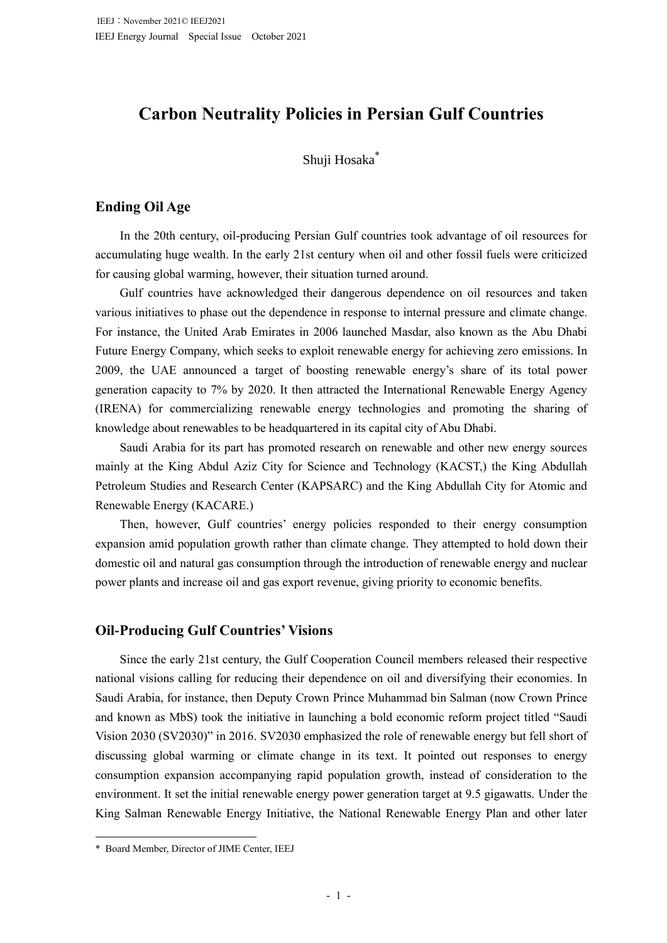# **Carbon Neutrality Policies in Persian Gulf Countries**

# Shuji Hosaka\*

# **Ending Oil Age**

In the 20th century, oil-producing Persian Gulf countries took advantage of oil resources for accumulating huge wealth. In the early 21st century when oil and other fossil fuels were criticized for causing global warming, however, their situation turned around.

Gulf countries have acknowledged their dangerous dependence on oil resources and taken various initiatives to phase out the dependence in response to internal pressure and climate change. For instance, the United Arab Emirates in 2006 launched Masdar, also known as the Abu Dhabi Future Energy Company, which seeks to exploit renewable energy for achieving zero emissions. In 2009, the UAE announced a target of boosting renewable energy's share of its total power generation capacity to 7% by 2020. It then attracted the International Renewable Energy Agency (IRENA) for commercializing renewable energy technologies and promoting the sharing of knowledge about renewables to be headquartered in its capital city of Abu Dhabi.

Saudi Arabia for its part has promoted research on renewable and other new energy sources mainly at the King Abdul Aziz City for Science and Technology (KACST,) the King Abdullah Petroleum Studies and Research Center (KAPSARC) and the King Abdullah City for Atomic and Renewable Energy (KACARE.)

Then, however, Gulf countries' energy policies responded to their energy consumption expansion amid population growth rather than climate change. They attempted to hold down their domestic oil and natural gas consumption through the introduction of renewable energy and nuclear power plants and increase oil and gas export revenue, giving priority to economic benefits.

# **Oil-Producing Gulf Countries' Visions**

Since the early 21st century, the Gulf Cooperation Council members released their respective national visions calling for reducing their dependence on oil and diversifying their economies. In Saudi Arabia, for instance, then Deputy Crown Prince Muhammad bin Salman (now Crown Prince and known as MbS) took the initiative in launching a bold economic reform project titled "Saudi Vision 2030 (SV2030)" in 2016. SV2030 emphasized the role of renewable energy but fell short of discussing global warming or climate change in its text. It pointed out responses to energy consumption expansion accompanying rapid population growth, instead of consideration to the environment. It set the initial renewable energy power generation target at 9.5 gigawatts. Under the King Salman Renewable Energy Initiative, the National Renewable Energy Plan and other later

<sup>\*</sup> Board Member, Director of JIME Center, IEEJ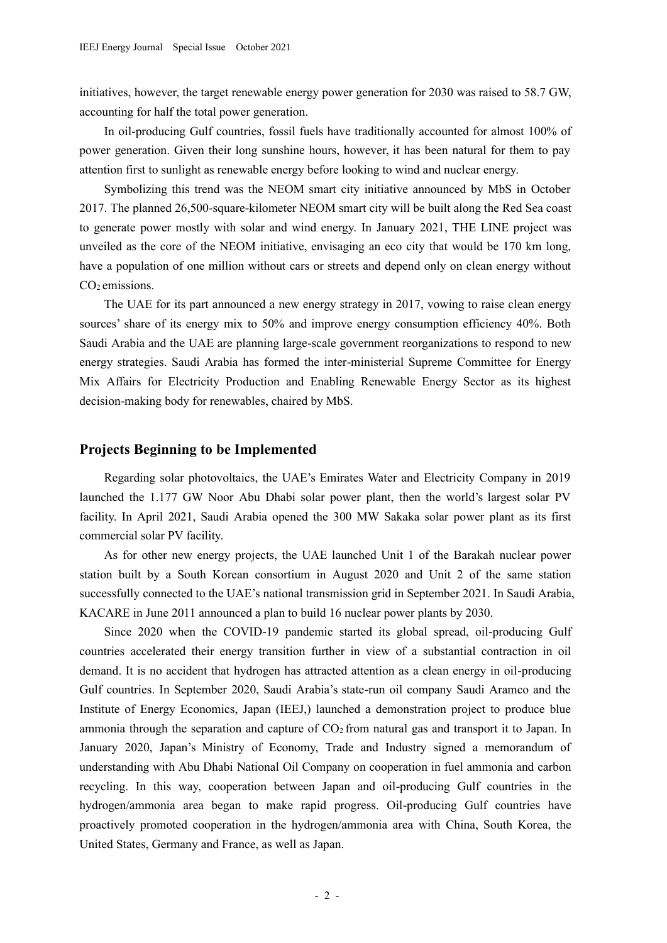initiatives, however, the target renewable energy power generation for 2030 was raised to 58.7 GW, accounting for half the total power generation.

In oil-producing Gulf countries, fossil fuels have traditionally accounted for almost 100% of power generation. Given their long sunshine hours, however, it has been natural for them to pay attention first to sunlight as renewable energy before looking to wind and nuclear energy.

Symbolizing this trend was the NEOM smart city initiative announced by MbS in October 2017. The planned 26,500-square-kilometer NEOM smart city will be built along the Red Sea coast to generate power mostly with solar and wind energy. In January 2021, THE LINE project was unveiled as the core of the NEOM initiative, envisaging an eco city that would be 170 km long, have a population of one million without cars or streets and depend only on clean energy without  $CO<sub>2</sub>$  emissions.

The UAE for its part announced a new energy strategy in 2017, vowing to raise clean energy sources' share of its energy mix to 50% and improve energy consumption efficiency 40%. Both Saudi Arabia and the UAE are planning large-scale government reorganizations to respond to new energy strategies. Saudi Arabia has formed the inter-ministerial Supreme Committee for Energy Mix Affairs for Electricity Production and Enabling Renewable Energy Sector as its highest decision-making body for renewables, chaired by MbS.

### **Projects Beginning to be Implemented**

Regarding solar photovoltaics, the UAE's Emirates Water and Electricity Company in 2019 launched the 1.177 GW Noor Abu Dhabi solar power plant, then the world's largest solar PV facility. In April 2021, Saudi Arabia opened the 300 MW Sakaka solar power plant as its first commercial solar PV facility.

As for other new energy projects, the UAE launched Unit 1 of the Barakah nuclear power station built by a South Korean consortium in August 2020 and Unit 2 of the same station successfully connected to the UAE's national transmission grid in September 2021. In Saudi Arabia, KACARE in June 2011 announced a plan to build 16 nuclear power plants by 2030.

Since 2020 when the COVID-19 pandemic started its global spread, oil-producing Gulf countries accelerated their energy transition further in view of a substantial contraction in oil demand. It is no accident that hydrogen has attracted attention as a clean energy in oil-producing Gulf countries. In September 2020, Saudi Arabia's state-run oil company Saudi Aramco and the Institute of Energy Economics, Japan (IEEJ,) launched a demonstration project to produce blue ammonia through the separation and capture of CO<sub>2</sub> from natural gas and transport it to Japan. In January 2020, Japan's Ministry of Economy, Trade and Industry signed a memorandum of understanding with Abu Dhabi National Oil Company on cooperation in fuel ammonia and carbon recycling. In this way, cooperation between Japan and oil-producing Gulf countries in the hydrogen/ammonia area began to make rapid progress. Oil-producing Gulf countries have proactively promoted cooperation in the hydrogen/ammonia area with China, South Korea, the United States, Germany and France, as well as Japan.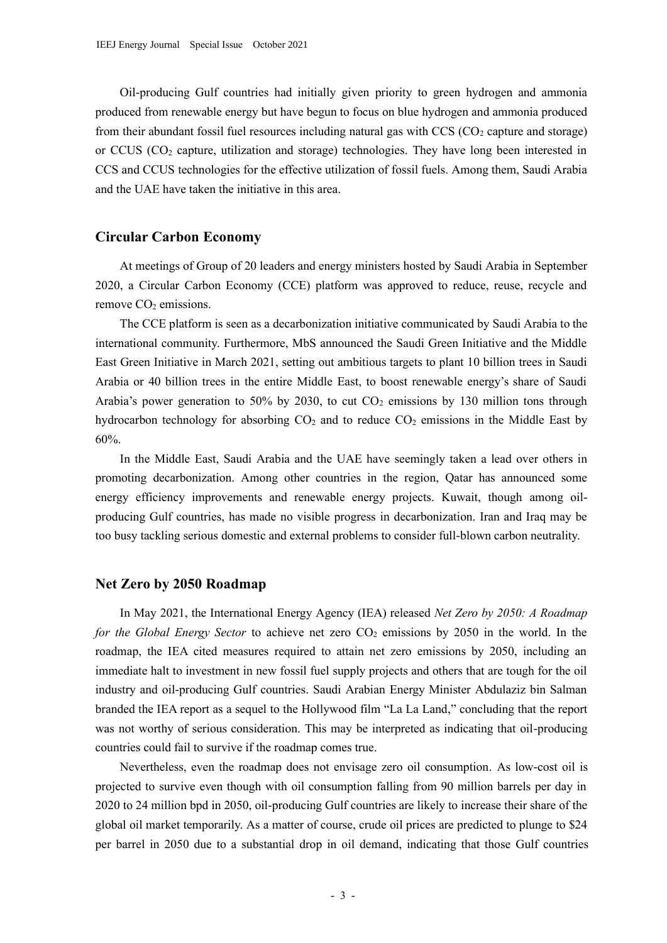Oil-producing Gulf countries had initially given priority to green hydrogen and ammonia produced from renewable energy but have begun to focus on blue hydrogen and ammonia produced from their abundant fossil fuel resources including natural gas with  $CCS (CO<sub>2</sub>)$  capture and storage) or CCUS ( $CO<sub>2</sub>$  capture, utilization and storage) technologies. They have long been interested in CCS and CCUS technologies for the effective utilization of fossil fuels. Among them, Saudi Arabia and the UAE have taken the initiative in this area.

## **Circular Carbon Economy**

At meetings of Group of 20 leaders and energy ministers hosted by Saudi Arabia in September 2020, a Circular Carbon Economy (CCE) platform was approved to reduce, reuse, recycle and remove  $CO<sub>2</sub>$  emissions.

The CCE platform is seen as a decarbonization initiative communicated by Saudi Arabia to the international community. Furthermore, MbS announced the Saudi Green Initiative and the Middle East Green Initiative in March 2021, setting out ambitious targets to plant 10 billion trees in Saudi Arabia or 40 billion trees in the entire Middle East, to boost renewable energy's share of Saudi Arabia's power generation to 50% by 2030, to cut  $CO<sub>2</sub>$  emissions by 130 million tons through hydrocarbon technology for absorbing  $CO<sub>2</sub>$  and to reduce  $CO<sub>2</sub>$  emissions in the Middle East by 60%.

In the Middle East, Saudi Arabia and the UAE have seemingly taken a lead over others in promoting decarbonization. Among other countries in the region, Qatar has announced some energy efficiency improvements and renewable energy projects. Kuwait, though among oilproducing Gulf countries, has made no visible progress in decarbonization. Iran and Iraq may be too busy tackling serious domestic and external problems to consider full-blown carbon neutrality.

### **Net Zero by 2050 Roadmap**

In May 2021, the International Energy Agency (IEA) released *Net Zero by 2050: A Roadmap for the Global Energy Sector* to achieve net zero  $CO<sub>2</sub>$  emissions by 2050 in the world. In the roadmap, the IEA cited measures required to attain net zero emissions by 2050, including an immediate halt to investment in new fossil fuel supply projects and others that are tough for the oil industry and oil-producing Gulf countries. Saudi Arabian Energy Minister Abdulaziz bin Salman branded the IEA report as a sequel to the Hollywood film "La La Land," concluding that the report was not worthy of serious consideration. This may be interpreted as indicating that oil-producing countries could fail to survive if the roadmap comes true.

Nevertheless, even the roadmap does not envisage zero oil consumption. As low-cost oil is projected to survive even though with oil consumption falling from 90 million barrels per day in 2020 to 24 million bpd in 2050, oil-producing Gulf countries are likely to increase their share of the global oil market temporarily. As a matter of course, crude oil prices are predicted to plunge to \$24 per barrel in 2050 due to a substantial drop in oil demand, indicating that those Gulf countries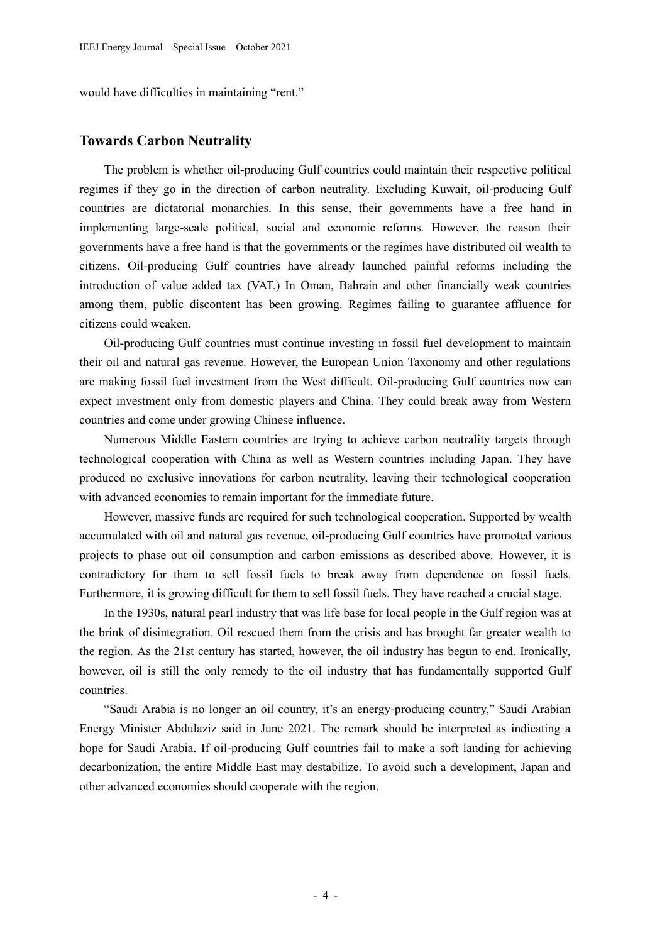would have difficulties in maintaining "rent."

# **Towards Carbon Neutrality**

The problem is whether oil-producing Gulf countries could maintain their respective political regimes if they go in the direction of carbon neutrality. Excluding Kuwait, oil-producing Gulf countries are dictatorial monarchies. In this sense, their governments have a free hand in implementing large-scale political, social and economic reforms. However, the reason their governments have a free hand is that the governments or the regimes have distributed oil wealth to citizens. Oil-producing Gulf countries have already launched painful reforms including the introduction of value added tax (VAT.) In Oman, Bahrain and other financially weak countries among them, public discontent has been growing. Regimes failing to guarantee affluence for citizens could weaken.

Oil-producing Gulf countries must continue investing in fossil fuel development to maintain their oil and natural gas revenue. However, the European Union Taxonomy and other regulations are making fossil fuel investment from the West difficult. Oil-producing Gulf countries now can expect investment only from domestic players and China. They could break away from Western countries and come under growing Chinese influence.

Numerous Middle Eastern countries are trying to achieve carbon neutrality targets through technological cooperation with China as well as Western countries including Japan. They have produced no exclusive innovations for carbon neutrality, leaving their technological cooperation with advanced economies to remain important for the immediate future.

However, massive funds are required for such technological cooperation. Supported by wealth accumulated with oil and natural gas revenue, oil-producing Gulf countries have promoted various projects to phase out oil consumption and carbon emissions as described above. However, it is contradictory for them to sell fossil fuels to break away from dependence on fossil fuels. Furthermore, it is growing difficult for them to sell fossil fuels. They have reached a crucial stage.

In the 1930s, natural pearl industry that was life base for local people in the Gulf region was at the brink of disintegration. Oil rescued them from the crisis and has brought far greater wealth to the region. As the 21st century has started, however, the oil industry has begun to end. Ironically, however, oil is still the only remedy to the oil industry that has fundamentally supported Gulf countries.

"Saudi Arabia is no longer an oil country, it's an energy-producing country," Saudi Arabian Energy Minister Abdulaziz said in June 2021. The remark should be interpreted as indicating a hope for Saudi Arabia. If oil-producing Gulf countries fail to make a soft landing for achieving decarbonization, the entire Middle East may destabilize. To avoid such a development, Japan and other advanced economies should cooperate with the region.